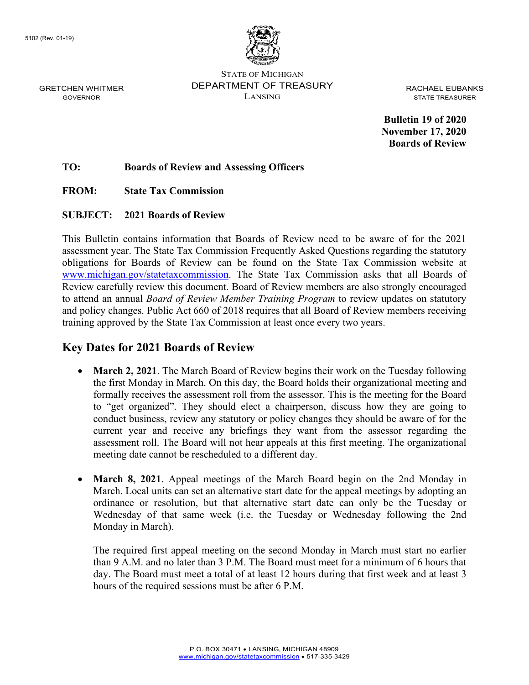

STATE OF MICHIGAN DEPARTMENT OF TREASURY LANSING

RACHAEL EUBANKS STATE TREASURER

**Bulletin 19 of 2020 November 17, 2020 Boards of Review**

**TO: Boards of Review and Assessing Officers**

**FROM: State Tax Commission**

#### **SUBJECT: 2021 Boards of Review**

This Bulletin contains information that Boards of Review need to be aware of for the 2021 assessment year. The State Tax Commission Frequently Asked Questions regarding the statutory obligations for Boards of Review can be found on the State Tax Commission website at [www.michigan.gov/statetaxcommission.](https://www.michigan.gov/statetaxcommission) The State Tax Commission asks that all Boards of Review carefully review this document. Board of Review members are also strongly encouraged to attend an annual *Board of Review Member Training Program* to review updates on statutory and policy changes. Public Act 660 of 2018 requires that all Board of Review members receiving training approved by the State Tax Commission at least once every two years.

#### **Key Dates for 2021 Boards of Review**

- **March 2, 2021**. The March Board of Review begins their work on the Tuesday following the first Monday in March. On this day, the Board holds their organizational meeting and formally receives the assessment roll from the assessor. This is the meeting for the Board to "get organized". They should elect a chairperson, discuss how they are going to conduct business, review any statutory or policy changes they should be aware of for the current year and receive any briefings they want from the assessor regarding the assessment roll. The Board will not hear appeals at this first meeting. The organizational meeting date cannot be rescheduled to a different day.
- **March 8, 2021**. Appeal meetings of the March Board begin on the 2nd Monday in March. Local units can set an alternative start date for the appeal meetings by adopting an ordinance or resolution, but that alternative start date can only be the Tuesday or Wednesday of that same week (i.e. the Tuesday or Wednesday following the 2nd Monday in March).

The required first appeal meeting on the second Monday in March must start no earlier than 9 A.M. and no later than 3 P.M. The Board must meet for a minimum of 6 hours that day. The Board must meet a total of at least 12 hours during that first week and at least 3 hours of the required sessions must be after 6 P.M.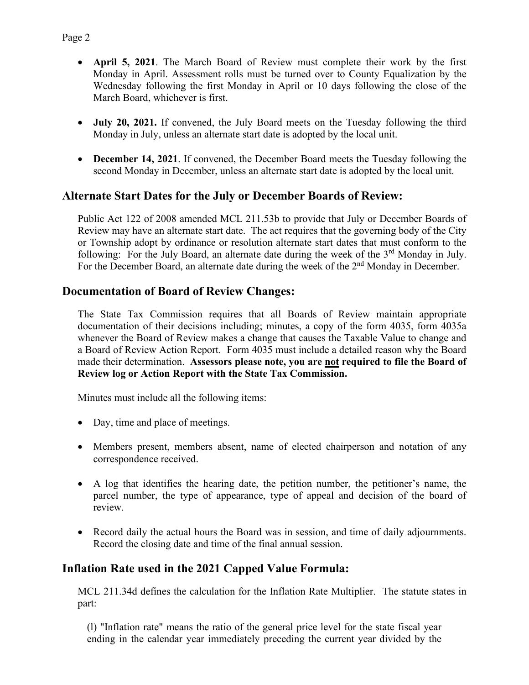- **April 5, 2021**. The March Board of Review must complete their work by the first Monday in April. Assessment rolls must be turned over to County Equalization by the Wednesday following the first Monday in April or 10 days following the close of the March Board, whichever is first.
- **July 20, 2021.** If convened, the July Board meets on the Tuesday following the third Monday in July, unless an alternate start date is adopted by the local unit.
- **December 14, 2021**. If convened, the December Board meets the Tuesday following the second Monday in December, unless an alternate start date is adopted by the local unit.

## **Alternate Start Dates for the July or December Boards of Review:**

Public Act 122 of 2008 amended MCL 211.53b to provide that July or December Boards of Review may have an alternate start date. The act requires that the governing body of the City or Township adopt by ordinance or resolution alternate start dates that must conform to the following: For the July Board, an alternate date during the week of the  $3<sup>rd</sup>$  Monday in July. For the December Board, an alternate date during the week of the 2<sup>nd</sup> Monday in December.

## **Documentation of Board of Review Changes:**

The State Tax Commission requires that all Boards of Review maintain appropriate documentation of their decisions including; minutes, a copy of the form 4035, form 4035a whenever the Board of Review makes a change that causes the Taxable Value to change and a Board of Review Action Report. Form 4035 must include a detailed reason why the Board made their determination. **Assessors please note, you are not required to file the Board of Review log or Action Report with the State Tax Commission.** 

Minutes must include all the following items:

- Day, time and place of meetings.
- Members present, members absent, name of elected chairperson and notation of any correspondence received.
- A log that identifies the hearing date, the petition number, the petitioner's name, the parcel number, the type of appearance, type of appeal and decision of the board of review.
- Record daily the actual hours the Board was in session, and time of daily adjournments. Record the closing date and time of the final annual session.

### **Inflation Rate used in the 2021 Capped Value Formula:**

MCL 211.34d defines the calculation for the Inflation Rate Multiplier. The statute states in part:

(l) "Inflation rate" means the ratio of the general price level for the state fiscal year ending in the calendar year immediately preceding the current year divided by the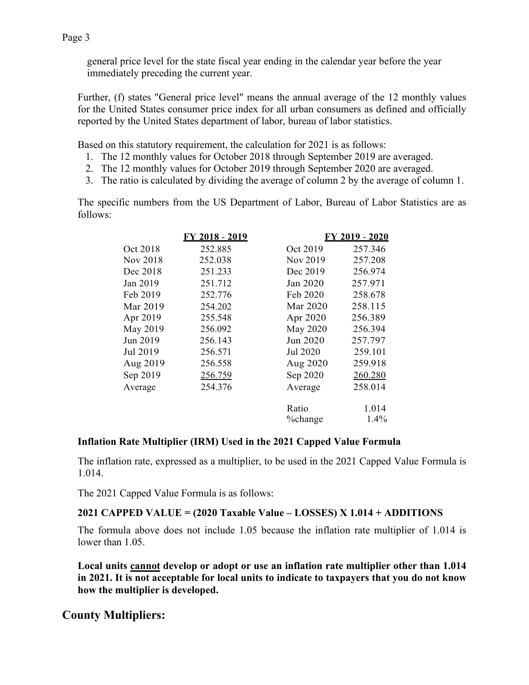general price level for the state fiscal year ending in the calendar year before the year immediately preceding the current year.

Further, (f) states "General price level" means the annual average of the 12 monthly values for the United States consumer price index for all urban consumers as defined and officially reported by the United States department of labor, bureau of labor statistics.

Based on this statutory requirement, the calculation for 2021 is as follows:

- 1. The 12 monthly values for October 2018 through September 2019 are averaged.
- 2. The 12 monthly values for October 2019 through September 2020 are averaged.
- 3. The ratio is calculated by dividing the average of column 2 by the average of column 1.

The specific numbers from the US Department of Labor, Bureau of Labor Statistics are as follows:

|          | FY 2018 - 2019 | FY 2019 - 2020 |         |
|----------|----------------|----------------|---------|
| Oct 2018 | 252.885        | Oct 2019       | 257.346 |
| Nov 2018 | 252.038        | Nov 2019       | 257.208 |
| Dec 2018 | 251.233        | Dec 2019       | 256.974 |
| Jan 2019 | 251.712        | Jan 2020       | 257.971 |
| Feb 2019 | 252.776        | Feb 2020       | 258.678 |
| Mar 2019 | 254.202        | Mar 2020       | 258.115 |
| Apr 2019 | 255.548        | Apr 2020       | 256.389 |
| May 2019 | 256.092        | May 2020       | 256.394 |
| Jun 2019 | 256.143        | Jun 2020       | 257.797 |
| Jul 2019 | 256.571        | Jul 2020       | 259.101 |
| Aug 2019 | 256.558        | Aug 2020       | 259.918 |
| Sep 2019 | 256.759        | Sep 2020       | 260.280 |
| Average  | 254.376        | Average        | 258.014 |
|          |                | Ratio          | 1.014   |
|          |                | %change        | 1.4%    |

#### **Inflation Rate Multiplier (IRM) Used in the 2021 Capped Value Formula**

The inflation rate, expressed as a multiplier, to be used in the 2021 Capped Value Formula is 1.014.

The 2021 Capped Value Formula is as follows:

### **2021 CAPPED VALUE = (2020 Taxable Value – LOSSES) X 1.014 + ADDITIONS**

The formula above does not include 1.05 because the inflation rate multiplier of 1.014 is lower than 1.05.

**Local units cannot develop or adopt or use an inflation rate multiplier other than 1.014 in 2021. It is not acceptable for local units to indicate to taxpayers that you do not know how the multiplier is developed.**

# **County Multipliers:**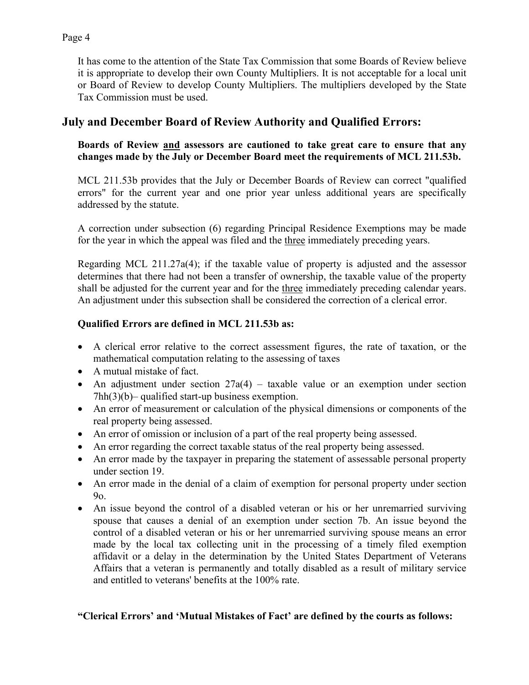It has come to the attention of the State Tax Commission that some Boards of Review believe it is appropriate to develop their own County Multipliers. It is not acceptable for a local unit or Board of Review to develop County Multipliers. The multipliers developed by the State Tax Commission must be used.

## **July and December Board of Review Authority and Qualified Errors:**

#### **Boards of Review and assessors are cautioned to take great care to ensure that any changes made by the July or December Board meet the requirements of MCL 211.53b.**

MCL 211.53b provides that the July or December Boards of Review can correct "qualified errors" for the current year and one prior year unless additional years are specifically addressed by the statute.

A correction under subsection (6) regarding Principal Residence Exemptions may be made for the year in which the appeal was filed and the three immediately preceding years.

Regarding MCL 211.27a(4); if the taxable value of property is adjusted and the assessor determines that there had not been a transfer of ownership, the taxable value of the property shall be adjusted for the current year and for the three immediately preceding calendar years. An adjustment under this subsection shall be considered the correction of a clerical error.

### **Qualified Errors are defined in MCL 211.53b as:**

- A clerical error relative to the correct assessment figures, the rate of taxation, or the mathematical computation relating to the assessing of taxes
- A mutual mistake of fact.
- An adjustment under section  $27a(4)$  taxable value or an exemption under section 7hh(3)(b)– qualified start-up business exemption.
- An error of measurement or calculation of the physical dimensions or components of the real property being assessed.
- An error of omission or inclusion of a part of the real property being assessed.
- An error regarding the correct taxable status of the real property being assessed.
- An error made by the taxpayer in preparing the statement of assessable personal property under section 19.
- An error made in the denial of a claim of exemption for personal property under section 9o.
- An issue beyond the control of a disabled veteran or his or her unremarried surviving spouse that causes a denial of an exemption under section 7b. An issue beyond the control of a disabled veteran or his or her unremarried surviving spouse means an error made by the local tax collecting unit in the processing of a timely filed exemption affidavit or a delay in the determination by the United States Department of Veterans Affairs that a veteran is permanently and totally disabled as a result of military service and entitled to veterans' benefits at the 100% rate.

#### **"Clerical Errors' and 'Mutual Mistakes of Fact' are defined by the courts as follows:**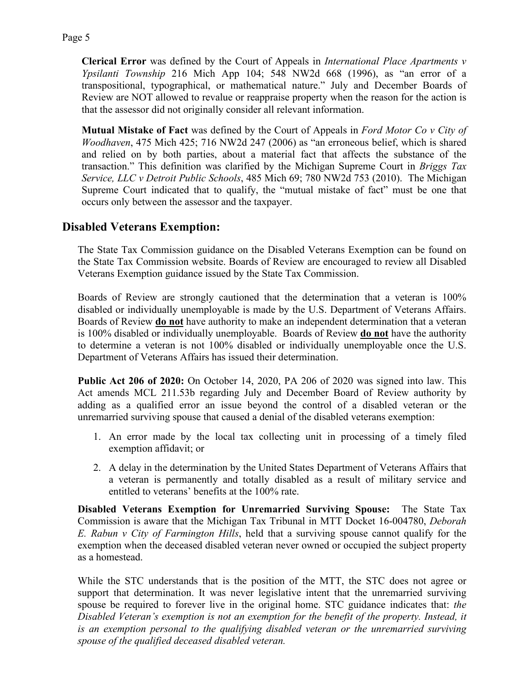**Clerical Error** was defined by the Court of Appeals in *International Place Apartments v Ypsilanti Township* 216 Mich App 104; 548 NW2d 668 (1996), as "an error of a transpositional, typographical, or mathematical nature." July and December Boards of Review are NOT allowed to revalue or reappraise property when the reason for the action is that the assessor did not originally consider all relevant information.

**Mutual Mistake of Fact** was defined by the Court of Appeals in *Ford Motor Co v City of Woodhaven*, 475 Mich 425; 716 NW2d 247 (2006) as "an erroneous belief, which is shared and relied on by both parties, about a material fact that affects the substance of the transaction." This definition was clarified by the Michigan Supreme Court in *Briggs Tax Service, LLC v Detroit Public Schools*, 485 Mich 69; 780 NW2d 753 (2010). The Michigan Supreme Court indicated that to qualify, the "mutual mistake of fact" must be one that occurs only between the assessor and the taxpayer.

# **Disabled Veterans Exemption:**

The State Tax Commission guidance on the Disabled Veterans Exemption can be found on the State Tax Commission website. Boards of Review are encouraged to review all Disabled Veterans Exemption guidance issued by the State Tax Commission.

Boards of Review are strongly cautioned that the determination that a veteran is 100% disabled or individually unemployable is made by the U.S. Department of Veterans Affairs. Boards of Review **do not** have authority to make an independent determination that a veteran is 100% disabled or individually unemployable. Boards of Review **do not** have the authority to determine a veteran is not 100% disabled or individually unemployable once the U.S. Department of Veterans Affairs has issued their determination.

**Public Act 206 of 2020:** On October 14, 2020, PA 206 of 2020 was signed into law. This Act amends MCL 211.53b regarding July and December Board of Review authority by adding as a qualified error an issue beyond the control of a disabled veteran or the unremarried surviving spouse that caused a denial of the disabled veterans exemption:

- 1. An error made by the local tax collecting unit in processing of a timely filed exemption affidavit; or
- 2. A delay in the determination by the United States Department of Veterans Affairs that a veteran is permanently and totally disabled as a result of military service and entitled to veterans' benefits at the 100% rate.

**Disabled Veterans Exemption for Unremarried Surviving Spouse:** The State Tax Commission is aware that the Michigan Tax Tribunal in MTT Docket 16-004780, *Deborah E. Rabun v City of Farmington Hills*, held that a surviving spouse cannot qualify for the exemption when the deceased disabled veteran never owned or occupied the subject property as a homestead.

While the STC understands that is the position of the MTT, the STC does not agree or support that determination. It was never legislative intent that the unremarried surviving spouse be required to forever live in the original home. STC guidance indicates that: *the Disabled Veteran's exemption is not an exemption for the benefit of the property. Instead, it is an exemption personal to the qualifying disabled veteran or the unremarried surviving spouse of the qualified deceased disabled veteran.*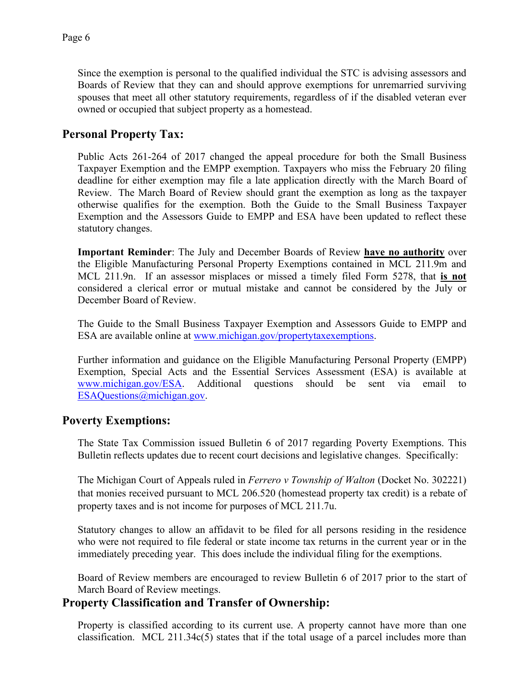Since the exemption is personal to the qualified individual the STC is advising assessors and Boards of Review that they can and should approve exemptions for unremarried surviving spouses that meet all other statutory requirements, regardless of if the disabled veteran ever owned or occupied that subject property as a homestead.

# **Personal Property Tax:**

Public Acts 261-264 of 2017 changed the appeal procedure for both the Small Business Taxpayer Exemption and the EMPP exemption. Taxpayers who miss the February 20 filing deadline for either exemption may file a late application directly with the March Board of Review. The March Board of Review should grant the exemption as long as the taxpayer otherwise qualifies for the exemption. Both the Guide to the Small Business Taxpayer Exemption and the Assessors Guide to EMPP and ESA have been updated to reflect these statutory changes.

**Important Reminder**: The July and December Boards of Review **have no authority** over the Eligible Manufacturing Personal Property Exemptions contained in MCL 211.9m and MCL 211.9n. If an assessor misplaces or missed a timely filed Form 5278, that **is not** considered a clerical error or mutual mistake and cannot be considered by the July or December Board of Review.

The Guide to the Small Business Taxpayer Exemption and Assessors Guide to EMPP and ESA are available online at [www.michigan.gov/propertytaxexemptions.](https://www.michigan.gov/propertytaxexemptions)

Further information and guidance on the Eligible Manufacturing Personal Property (EMPP) Exemption, Special Acts and the Essential Services Assessment (ESA) is available at [www.michigan.gov/ESA.](https://www.michigan.gov/ESA) Additional questions should be sent via email to [ESAQuestions@michigan.gov.](mailto:ESAQuestions@michigan.gov)

### **Poverty Exemptions:**

The State Tax Commission issued Bulletin 6 of 2017 regarding Poverty Exemptions. This Bulletin reflects updates due to recent court decisions and legislative changes. Specifically:

The Michigan Court of Appeals ruled in *Ferrero v Township of Walton* (Docket No. 302221) that monies received pursuant to MCL 206.520 (homestead property tax credit) is a rebate of property taxes and is not income for purposes of MCL 211.7u.

Statutory changes to allow an affidavit to be filed for all persons residing in the residence who were not required to file federal or state income tax returns in the current year or in the immediately preceding year. This does include the individual filing for the exemptions.

Board of Review members are encouraged to review Bulletin 6 of 2017 prior to the start of March Board of Review meetings.

### **Property Classification and Transfer of Ownership:**

Property is classified according to its current use. A property cannot have more than one classification. MCL 211.34c(5) states that if the total usage of a parcel includes more than